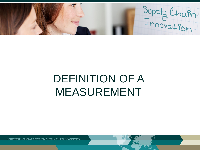Supply Chain

# DEFINITION OF A MEASUREMENT

KONKURRENCEKRAFT GENNEM SUPPLY CHAIN INNOVATION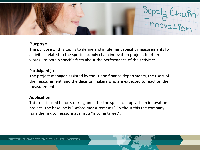

## **Purpose**

The purpose of this tool is to define and implement specific measurements for activities related to the specific supply chain innovation project. In other words, to obtain specific facts about the performance of the activities.

### **Participant(s)**

The project manager, assisted by the IT and finance departments, the users of the measurement, and the decision makers who are expected to react on the measurement.

#### **Application**

This tool is used before, during and after the specific supply chain innovation project. The baseline is "Before measurements". Without this the company runs the risk to measure against a "moving target".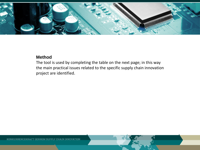

## **Method**

The tool is used by completing the table on the next page; in this way the main practical issues related to the specific supply chain innovation project are identified.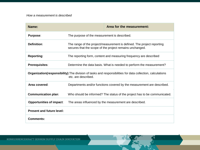| Name:                                                                                                                                     |                                                                                                                                    | Area for the measurement: |
|-------------------------------------------------------------------------------------------------------------------------------------------|------------------------------------------------------------------------------------------------------------------------------------|---------------------------|
| <b>Purpose:</b>                                                                                                                           | The purpose of the measurement is described.                                                                                       |                           |
| Definition:                                                                                                                               | The range of the project/measurement is defined. The project reporting<br>secures that the scope of the project remains unchanged. |                           |
| <b>Reporting:</b>                                                                                                                         | The reporting form, content and measuring frequency are described                                                                  |                           |
| <b>Prerequisites:</b>                                                                                                                     | Determine the data basis. What is needed to perform the measurement?                                                               |                           |
| <b>Organization (responsibility):</b> The division of tasks and responsibilities for data collection, calculations<br>etc. are described. |                                                                                                                                    |                           |
| Area covered:                                                                                                                             | Departments and/or functions covered by the measurement are described.                                                             |                           |
| <b>Communication plan:</b>                                                                                                                | Who should be informed? The status of the project has to be communicated.                                                          |                           |
| <b>Opportunities of impact:</b>                                                                                                           | The areas influenced by the measurement are described.                                                                             |                           |
| <b>Present and future level:</b>                                                                                                          |                                                                                                                                    |                           |
| <b>Comments:</b>                                                                                                                          |                                                                                                                                    |                           |

KONKURRENCEKRAFT GENNEM SUPPLY CHAIN INNOVATION